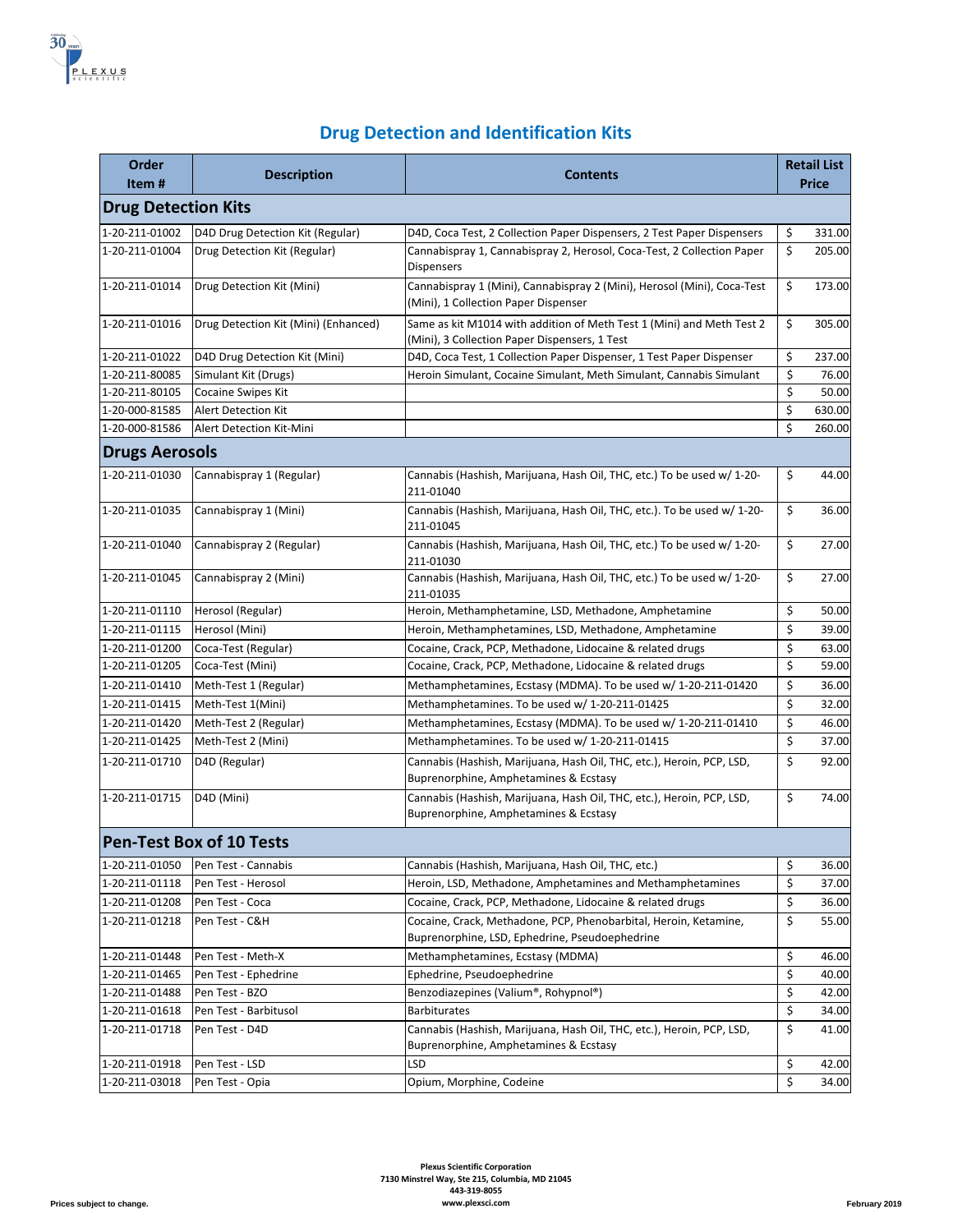

## **Drug Detection and Identification Kits**

| Order<br>Item#             | <b>Description</b>                   | <b>Contents</b>                                                                                                        | <b>Retail List</b><br><b>Price</b> |        |
|----------------------------|--------------------------------------|------------------------------------------------------------------------------------------------------------------------|------------------------------------|--------|
| <b>Drug Detection Kits</b> |                                      |                                                                                                                        |                                    |        |
| 1-20-211-01002             | D4D Drug Detection Kit (Regular)     | D4D, Coca Test, 2 Collection Paper Dispensers, 2 Test Paper Dispensers                                                 | \$                                 | 331.00 |
| 1-20-211-01004             | Drug Detection Kit (Regular)         | Cannabispray 1, Cannabispray 2, Herosol, Coca-Test, 2 Collection Paper<br><b>Dispensers</b>                            | \$                                 | 205.00 |
| 1-20-211-01014             | Drug Detection Kit (Mini)            | Cannabispray 1 (Mini), Cannabispray 2 (Mini), Herosol (Mini), Coca-Test<br>(Mini), 1 Collection Paper Dispenser        | \$                                 | 173.00 |
| 1-20-211-01016             | Drug Detection Kit (Mini) (Enhanced) | Same as kit M1014 with addition of Meth Test 1 (Mini) and Meth Test 2<br>(Mini), 3 Collection Paper Dispensers, 1 Test | \$                                 | 305.00 |
| 1-20-211-01022             | D4D Drug Detection Kit (Mini)        | D4D, Coca Test, 1 Collection Paper Dispenser, 1 Test Paper Dispenser                                                   | \$                                 | 237.00 |
| 1-20-211-80085             | Simulant Kit (Drugs)                 | Heroin Simulant, Cocaine Simulant, Meth Simulant, Cannabis Simulant                                                    | \$                                 | 76.00  |
| 1-20-211-80105             | <b>Cocaine Swipes Kit</b>            |                                                                                                                        | \$                                 | 50.00  |
| 1-20-000-81585             | <b>Alert Detection Kit</b>           |                                                                                                                        | \$                                 | 630.00 |
| 1-20-000-81586             | Alert Detection Kit-Mini             |                                                                                                                        | \$                                 | 260.00 |
| <b>Drugs Aerosols</b>      |                                      |                                                                                                                        |                                    |        |
| 1-20-211-01030             | Cannabispray 1 (Regular)             | Cannabis (Hashish, Marijuana, Hash Oil, THC, etc.) To be used w/ 1-20-<br>211-01040                                    | \$                                 | 44.00  |
| 1-20-211-01035             | Cannabispray 1 (Mini)                | Cannabis (Hashish, Marijuana, Hash Oil, THC, etc.). To be used w/ 1-20-<br>211-01045                                   | \$                                 | 36.00  |
| 1-20-211-01040             | Cannabispray 2 (Regular)             | Cannabis (Hashish, Marijuana, Hash Oil, THC, etc.) To be used w/ 1-20-<br>211-01030                                    | \$                                 | 27.00  |
| 1-20-211-01045             | Cannabispray 2 (Mini)                | Cannabis (Hashish, Marijuana, Hash Oil, THC, etc.) To be used w/ 1-20-<br>211-01035                                    | \$                                 | 27.00  |
| 1-20-211-01110             | Herosol (Regular)                    | Heroin, Methamphetamine, LSD, Methadone, Amphetamine                                                                   | \$                                 | 50.00  |
| 1-20-211-01115             | Herosol (Mini)                       | Heroin, Methamphetamines, LSD, Methadone, Amphetamine                                                                  | \$                                 | 39.00  |
| 1-20-211-01200             | Coca-Test (Regular)                  | Cocaine, Crack, PCP, Methadone, Lidocaine & related drugs                                                              | \$                                 | 63.00  |
| 1-20-211-01205             | Coca-Test (Mini)                     | Cocaine, Crack, PCP, Methadone, Lidocaine & related drugs                                                              | \$                                 | 59.00  |
| 1-20-211-01410             | Meth-Test 1 (Regular)                | Methamphetamines, Ecstasy (MDMA). To be used w/ 1-20-211-01420                                                         | \$                                 | 36.00  |
| 1-20-211-01415             | Meth-Test 1(Mini)                    | Methamphetamines. To be used w/ 1-20-211-01425                                                                         | \$                                 | 32.00  |
| 1-20-211-01420             | Meth-Test 2 (Regular)                | Methamphetamines, Ecstasy (MDMA). To be used w/ 1-20-211-01410                                                         | \$                                 | 46.00  |
| 1-20-211-01425             | Meth-Test 2 (Mini)                   | Methamphetamines. To be used w/ 1-20-211-01415                                                                         | \$                                 | 37.00  |
| 1-20-211-01710             | D4D (Regular)                        | Cannabis (Hashish, Marijuana, Hash Oil, THC, etc.), Heroin, PCP, LSD,<br>Buprenorphine, Amphetamines & Ecstasy         | \$                                 | 92.00  |
| 1-20-211-01715             | D4D (Mini)                           | Cannabis (Hashish, Marijuana, Hash Oil, THC, etc.), Heroin, PCP, LSD,<br>Buprenorphine, Amphetamines & Ecstasy         | \$                                 | 74.00  |
|                            | <b>Pen-Test Box of 10 Tests</b>      |                                                                                                                        |                                    |        |
| 1-20-211-01050             | Pen Test - Cannabis                  | Cannabis (Hashish, Marijuana, Hash Oil, THC, etc.)                                                                     | \$                                 | 36.00  |
| 1-20-211-01118             | Pen Test - Herosol                   | Heroin, LSD, Methadone, Amphetamines and Methamphetamines                                                              | \$                                 | 37.00  |
| 1-20-211-01208             | Pen Test - Coca                      | Cocaine, Crack, PCP, Methadone, Lidocaine & related drugs                                                              | \$                                 | 36.00  |
| 1-20-211-01218             | Pen Test - C&H                       | Cocaine, Crack, Methadone, PCP, Phenobarbital, Heroin, Ketamine,<br>Buprenorphine, LSD, Ephedrine, Pseudoephedrine     | \$                                 | 55.00  |
| 1-20-211-01448             | Pen Test - Meth-X                    | Methamphetamines, Ecstasy (MDMA)                                                                                       | \$                                 | 46.00  |
| 1-20-211-01465             | Pen Test - Ephedrine                 | Ephedrine, Pseudoephedrine                                                                                             | \$                                 | 40.00  |
| 1-20-211-01488             | Pen Test - BZO                       | Benzodiazepines (Valium®, Rohypnol®)                                                                                   | \$                                 | 42.00  |
| 1-20-211-01618             | Pen Test - Barbitusol                | <b>Barbiturates</b>                                                                                                    | \$                                 | 34.00  |
| 1-20-211-01718             | Pen Test - D4D                       | Cannabis (Hashish, Marijuana, Hash Oil, THC, etc.), Heroin, PCP, LSD,<br>Buprenorphine, Amphetamines & Ecstasy         | \$                                 | 41.00  |
| 1-20-211-01918             | Pen Test - LSD                       | LSD                                                                                                                    | \$                                 | 42.00  |
| 1-20-211-03018             | Pen Test - Opia                      | Opium, Morphine, Codeine                                                                                               | \$                                 | 34.00  |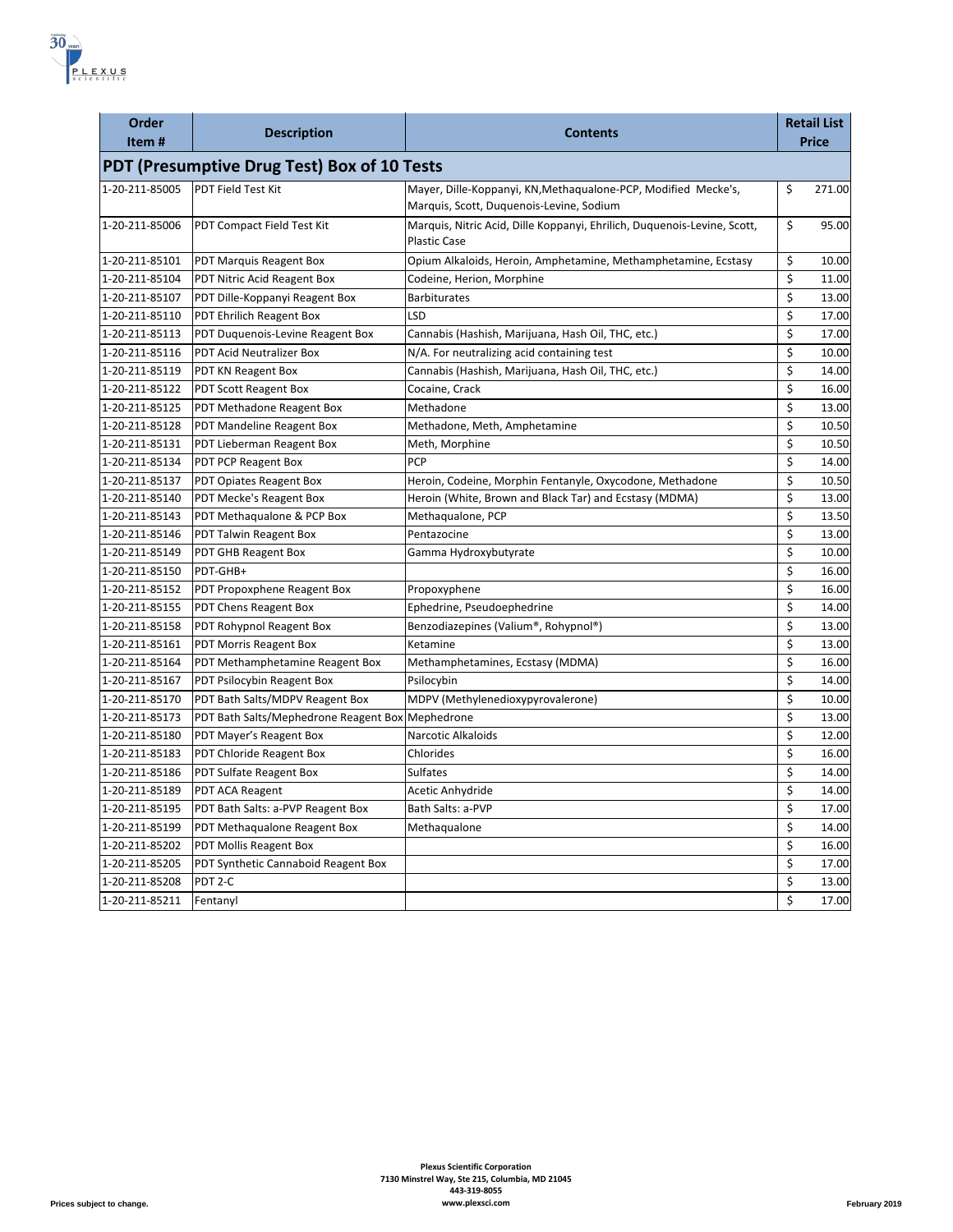

| Order<br>Item#                              | <b>Description</b>                    | <b>Contents</b>                                                                                            | <b>Retail List</b><br><b>Price</b> |        |  |  |
|---------------------------------------------|---------------------------------------|------------------------------------------------------------------------------------------------------------|------------------------------------|--------|--|--|
| PDT (Presumptive Drug Test) Box of 10 Tests |                                       |                                                                                                            |                                    |        |  |  |
| 1-20-211-85005                              | <b>PDT Field Test Kit</b>             | Mayer, Dille-Koppanyi, KN, Methaqualone-PCP, Modified Mecke's,<br>Marquis, Scott, Duquenois-Levine, Sodium | \$                                 | 271.00 |  |  |
| 1-20-211-85006                              | PDT Compact Field Test Kit            | Marquis, Nitric Acid, Dille Koppanyi, Ehrilich, Duquenois-Levine, Scott,<br>Plastic Case                   | \$                                 | 95.00  |  |  |
| 1-20-211-85101                              | PDT Marquis Reagent Box               | Opium Alkaloids, Heroin, Amphetamine, Methamphetamine, Ecstasy                                             | \$                                 | 10.00  |  |  |
| 1-20-211-85104                              | PDT Nitric Acid Reagent Box           | Codeine, Herion, Morphine                                                                                  | \$                                 | 11.00  |  |  |
| 1-20-211-85107                              | PDT Dille-Koppanyi Reagent Box        | <b>Barbiturates</b>                                                                                        | \$                                 | 13.00  |  |  |
| 1-20-211-85110                              | PDT Ehrilich Reagent Box              | LSD                                                                                                        | \$                                 | 17.00  |  |  |
| 1-20-211-85113                              | PDT Duquenois-Levine Reagent Box      | Cannabis (Hashish, Marijuana, Hash Oil, THC, etc.)                                                         | \$                                 | 17.00  |  |  |
| 1-20-211-85116                              | PDT Acid Neutralizer Box              | N/A. For neutralizing acid containing test                                                                 | \$                                 | 10.00  |  |  |
| 1-20-211-85119                              | PDT KN Reagent Box                    | Cannabis (Hashish, Marijuana, Hash Oil, THC, etc.)                                                         | Ś                                  | 14.00  |  |  |
| 1-20-211-85122                              | <b>PDT Scott Reagent Box</b>          | Cocaine, Crack                                                                                             | \$                                 | 16.00  |  |  |
| 1-20-211-85125                              | PDT Methadone Reagent Box             | Methadone                                                                                                  | \$                                 | 13.00  |  |  |
| 1-20-211-85128                              | PDT Mandeline Reagent Box             | Methadone, Meth, Amphetamine                                                                               | \$                                 | 10.50  |  |  |
| 1-20-211-85131                              | PDT Lieberman Reagent Box             | Meth, Morphine                                                                                             | \$                                 | 10.50  |  |  |
| 1-20-211-85134                              | PDT PCP Reagent Box                   | PCP                                                                                                        | \$                                 | 14.00  |  |  |
| 1-20-211-85137                              | PDT Opiates Reagent Box               | Heroin, Codeine, Morphin Fentanyle, Oxycodone, Methadone                                                   | \$                                 | 10.50  |  |  |
| 1-20-211-85140                              | PDT Mecke's Reagent Box               | Heroin (White, Brown and Black Tar) and Ecstasy (MDMA)                                                     | \$                                 | 13.00  |  |  |
| 1-20-211-85143                              | PDT Methaqualone & PCP Box            | Methaqualone, PCP                                                                                          | \$                                 | 13.50  |  |  |
| 1-20-211-85146                              | PDT Talwin Reagent Box                | Pentazocine                                                                                                | \$                                 | 13.00  |  |  |
| 1-20-211-85149                              | PDT GHB Reagent Box                   | Gamma Hydroxybutyrate                                                                                      | \$                                 | 10.00  |  |  |
| 1-20-211-85150                              | PDT-GHB+                              |                                                                                                            | \$                                 | 16.00  |  |  |
| 1-20-211-85152                              | PDT Propoxphene Reagent Box           | Propoxyphene                                                                                               | \$                                 | 16.00  |  |  |
| 1-20-211-85155                              | PDT Chens Reagent Box                 | Ephedrine, Pseudoephedrine                                                                                 | \$                                 | 14.00  |  |  |
| 1-20-211-85158                              | PDT Rohypnol Reagent Box              | Benzodiazepines (Valium®, Rohypnol®)                                                                       | \$                                 | 13.00  |  |  |
| 1-20-211-85161                              | PDT Morris Reagent Box                | Ketamine                                                                                                   | \$                                 | 13.00  |  |  |
| 1-20-211-85164                              | PDT Methamphetamine Reagent Box       | Methamphetamines, Ecstasy (MDMA)                                                                           | \$                                 | 16.00  |  |  |
| 1-20-211-85167                              | PDT Psilocybin Reagent Box            | Psilocybin                                                                                                 | \$                                 | 14.00  |  |  |
| 1-20-211-85170                              | PDT Bath Salts/MDPV Reagent Box       | MDPV (Methylenedioxypyrovalerone)                                                                          | \$                                 | 10.00  |  |  |
| 1-20-211-85173                              | PDT Bath Salts/Mephedrone Reagent Box | Mephedrone                                                                                                 | \$                                 | 13.00  |  |  |
| 1-20-211-85180                              | PDT Mayer's Reagent Box               | Narcotic Alkaloids                                                                                         | \$                                 | 12.00  |  |  |
| 1-20-211-85183                              | PDT Chloride Reagent Box              | Chlorides                                                                                                  | \$                                 | 16.00  |  |  |
| 1-20-211-85186                              | PDT Sulfate Reagent Box               | Sulfates                                                                                                   | \$                                 | 14.00  |  |  |
| 1-20-211-85189                              | PDT ACA Reagent                       | Acetic Anhydride                                                                                           | \$                                 | 14.00  |  |  |
| 1-20-211-85195                              | PDT Bath Salts: a-PVP Reagent Box     | Bath Salts: a-PVP                                                                                          | \$                                 | 17.00  |  |  |
| 1-20-211-85199                              | PDT Methaqualone Reagent Box          | Methaqualone                                                                                               | \$                                 | 14.00  |  |  |
| 1-20-211-85202                              | PDT Mollis Reagent Box                |                                                                                                            | \$                                 | 16.00  |  |  |
| 1-20-211-85205                              | PDT Synthetic Cannaboid Reagent Box   |                                                                                                            | \$                                 | 17.00  |  |  |
| 1-20-211-85208                              | PDT 2-C                               |                                                                                                            | \$                                 | 13.00  |  |  |
| 1-20-211-85211                              | Fentanyl                              |                                                                                                            | Ś.                                 | 17.00  |  |  |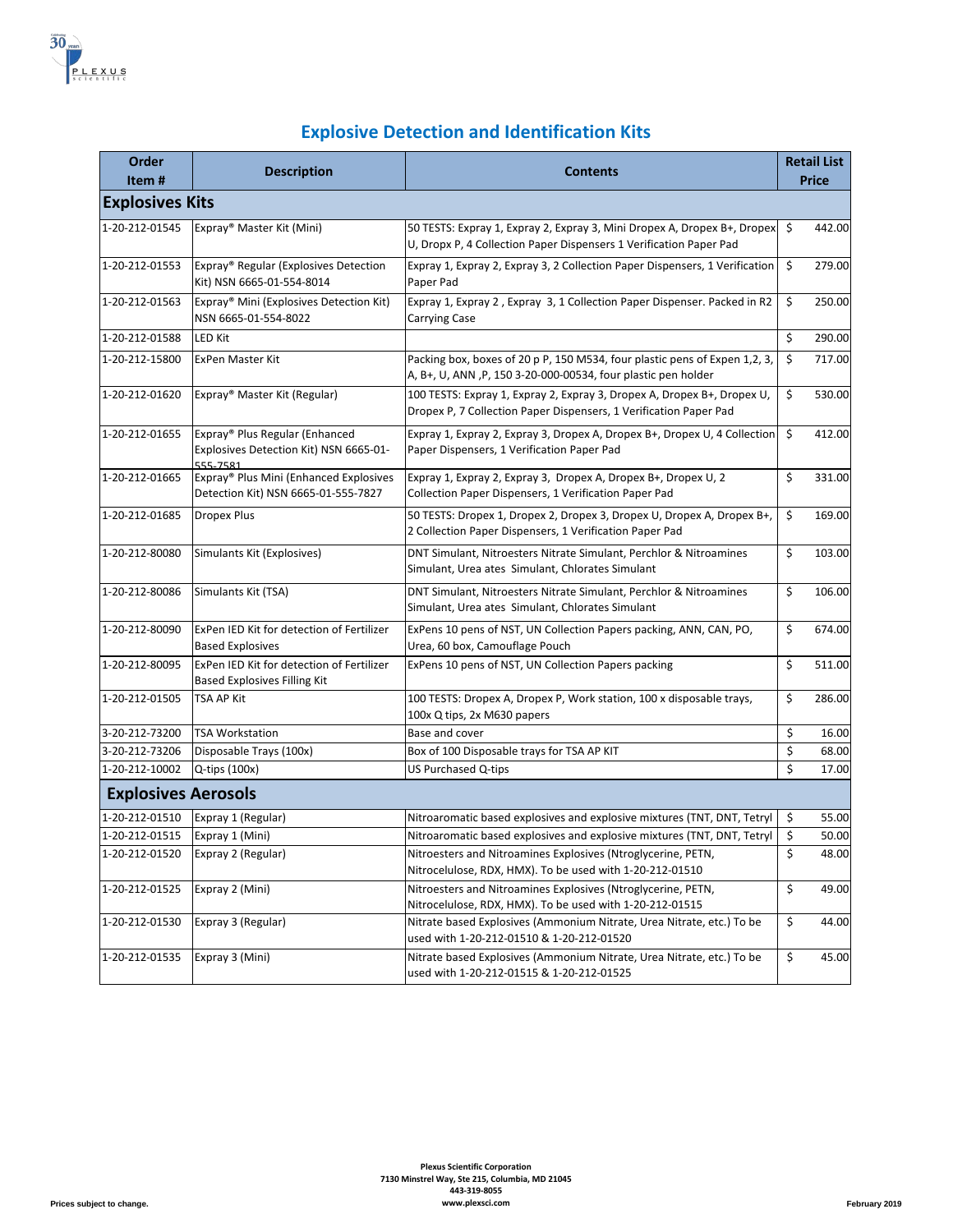

## **Explosive Detection and Identification Kits**

| Order<br>Item#             | <b>Description</b>                                                                   | <b>Contents</b>                                                                                                                                | <b>Retail List</b><br><b>Price</b> |        |
|----------------------------|--------------------------------------------------------------------------------------|------------------------------------------------------------------------------------------------------------------------------------------------|------------------------------------|--------|
| <b>Explosives Kits</b>     |                                                                                      |                                                                                                                                                |                                    |        |
| 1-20-212-01545             | Expray <sup>®</sup> Master Kit (Mini)                                                | 50 TESTS: Expray 1, Expray 2, Expray 3, Mini Dropex A, Dropex B+, Dropex<br>U, Dropx P, 4 Collection Paper Dispensers 1 Verification Paper Pad | \$                                 | 442.00 |
| 1-20-212-01553             | Expray <sup>®</sup> Regular (Explosives Detection<br>Kit) NSN 6665-01-554-8014       | Expray 1, Expray 2, Expray 3, 2 Collection Paper Dispensers, 1 Verification<br>Paper Pad                                                       | $\ddot{\mathsf{S}}$                | 279.00 |
| 1-20-212-01563             | Expray® Mini (Explosives Detection Kit)<br>NSN 6665-01-554-8022                      | Expray 1, Expray 2, Expray 3, 1 Collection Paper Dispenser. Packed in R2<br><b>Carrying Case</b>                                               | \$                                 | 250.00 |
| 1-20-212-01588             | <b>LED Kit</b>                                                                       |                                                                                                                                                | \$                                 | 290.00 |
| 1-20-212-15800             | <b>ExPen Master Kit</b>                                                              | Packing box, boxes of 20 p P, 150 M534, four plastic pens of Expen 1,2, 3,<br>A, B+, U, ANN , P, 150 3-20-000-00534, four plastic pen holder   | \$                                 | 717.00 |
| 1-20-212-01620             | Expray <sup>®</sup> Master Kit (Regular)                                             | 100 TESTS: Expray 1, Expray 2, Expray 3, Dropex A, Dropex B+, Dropex U,<br>Dropex P, 7 Collection Paper Dispensers, 1 Verification Paper Pad   | \$                                 | 530.00 |
| 1-20-212-01655             | Expray® Plus Regular (Enhanced<br>Explosives Detection Kit) NSN 6665-01-<br>555-7581 | Expray 1, Expray 2, Expray 3, Dropex A, Dropex B+, Dropex U, 4 Collection<br>Paper Dispensers, 1 Verification Paper Pad                        | $\ddot{\mathsf{S}}$                | 412.00 |
| 1-20-212-01665             | Expray® Plus Mini (Enhanced Explosives<br>Detection Kit) NSN 6665-01-555-7827        | Expray 1, Expray 2, Expray 3, Dropex A, Dropex B+, Dropex U, 2<br>Collection Paper Dispensers, 1 Verification Paper Pad                        | \$                                 | 331.00 |
| 1-20-212-01685             | <b>Dropex Plus</b>                                                                   | 50 TESTS: Dropex 1, Dropex 2, Dropex 3, Dropex U, Dropex A, Dropex B+,<br>2 Collection Paper Dispensers, 1 Verification Paper Pad              | \$                                 | 169.00 |
| 1-20-212-80080             | Simulants Kit (Explosives)                                                           | DNT Simulant, Nitroesters Nitrate Simulant, Perchlor & Nitroamines<br>Simulant, Urea ates Simulant, Chlorates Simulant                         | \$                                 | 103.00 |
| 1-20-212-80086             | Simulants Kit (TSA)                                                                  | DNT Simulant, Nitroesters Nitrate Simulant, Perchlor & Nitroamines<br>Simulant, Urea ates Simulant, Chlorates Simulant                         | \$                                 | 106.00 |
| 1-20-212-80090             | ExPen IED Kit for detection of Fertilizer<br><b>Based Explosives</b>                 | ExPens 10 pens of NST, UN Collection Papers packing, ANN, CAN, PO,<br>Urea, 60 box, Camouflage Pouch                                           | \$                                 | 674.00 |
| 1-20-212-80095             | ExPen IED Kit for detection of Fertilizer<br><b>Based Explosives Filling Kit</b>     | ExPens 10 pens of NST, UN Collection Papers packing                                                                                            | \$                                 | 511.00 |
| 1-20-212-01505             | <b>TSA AP Kit</b>                                                                    | 100 TESTS: Dropex A, Dropex P, Work station, 100 x disposable trays,<br>100x Q tips, 2x M630 papers                                            | \$                                 | 286.00 |
| 3-20-212-73200             | <b>TSA Workstation</b>                                                               | Base and cover                                                                                                                                 | \$                                 | 16.00  |
| 3-20-212-73206             | Disposable Trays (100x)                                                              | Box of 100 Disposable trays for TSA AP KIT                                                                                                     | \$                                 | 68.00  |
| 1-20-212-10002             | Q-tips (100x)                                                                        | US Purchased Q-tips                                                                                                                            | \$                                 | 17.00  |
| <b>Explosives Aerosols</b> |                                                                                      |                                                                                                                                                |                                    |        |
| 1-20-212-01510             | Expray 1 (Regular)                                                                   | Nitroaromatic based explosives and explosive mixtures (TNT, DNT, Tetryl                                                                        | \$                                 | 55.00  |
| 1-20-212-01515             | Expray 1 (Mini)                                                                      | Nitroaromatic based explosives and explosive mixtures (TNT, DNT, Tetryl                                                                        | \$                                 | 50.00  |
| 1-20-212-01520             | Expray 2 (Regular)                                                                   | Nitroesters and Nitroamines Explosives (Ntroglycerine, PETN,<br>Nitrocelulose, RDX, HMX). To be used with 1-20-212-01510                       | \$                                 | 48.00  |
| 1-20-212-01525             | Expray 2 (Mini)                                                                      | Nitroesters and Nitroamines Explosives (Ntroglycerine, PETN,<br>Nitrocelulose, RDX, HMX). To be used with 1-20-212-01515                       | \$                                 | 49.00  |
| 1-20-212-01530             | Expray 3 (Regular)                                                                   | Nitrate based Explosives (Ammonium Nitrate, Urea Nitrate, etc.) To be<br>used with 1-20-212-01510 & 1-20-212-01520                             | \$                                 | 44.00  |
| 1-20-212-01535             | Expray 3 (Mini)                                                                      | Nitrate based Explosives (Ammonium Nitrate, Urea Nitrate, etc.) To be<br>used with 1-20-212-01515 & 1-20-212-01525                             | \$                                 | 45.00  |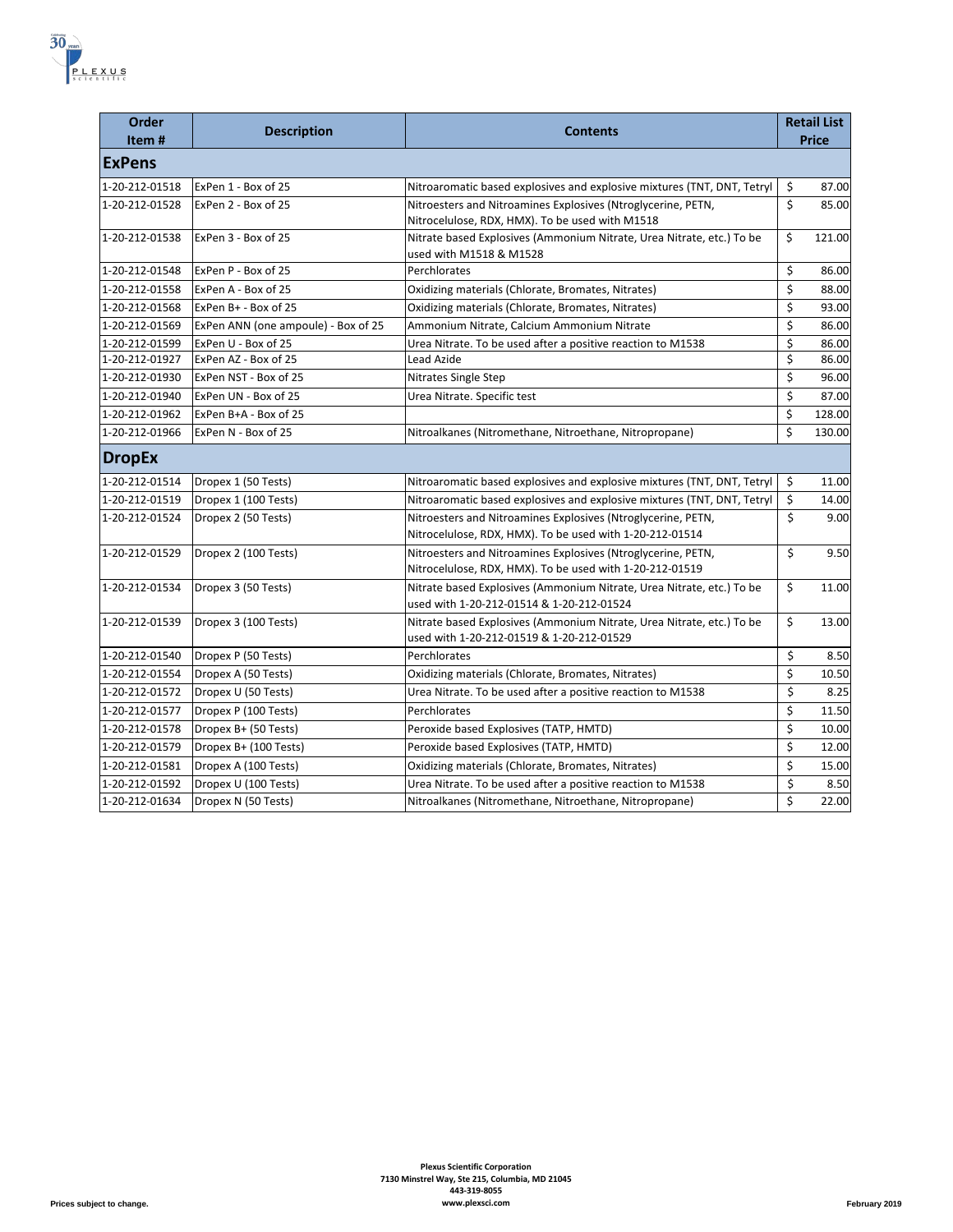

| Order          | <b>Description</b>                  | <b>Contents</b>                                                                                                          | <b>Retail List</b> |              |  |
|----------------|-------------------------------------|--------------------------------------------------------------------------------------------------------------------------|--------------------|--------------|--|
| Item#          |                                     |                                                                                                                          |                    | <b>Price</b> |  |
| <b>ExPens</b>  |                                     |                                                                                                                          |                    |              |  |
| 1-20-212-01518 | ExPen 1 - Box of 25                 | Nitroaromatic based explosives and explosive mixtures (TNT, DNT, Tetryl                                                  | \$                 | 87.00        |  |
| 1-20-212-01528 | ExPen 2 - Box of 25                 | Nitroesters and Nitroamines Explosives (Ntroglycerine, PETN,<br>Nitrocelulose, RDX, HMX). To be used with M1518          | \$                 | 85.00        |  |
| 1-20-212-01538 | ExPen 3 - Box of 25                 | Nitrate based Explosives (Ammonium Nitrate, Urea Nitrate, etc.) To be<br>used with M1518 & M1528                         | \$                 | 121.00       |  |
| 1-20-212-01548 | ExPen P - Box of 25                 | Perchlorates                                                                                                             | \$                 | 86.00        |  |
| 1-20-212-01558 | ExPen A - Box of 25                 | Oxidizing materials (Chlorate, Bromates, Nitrates)                                                                       | \$                 | 88.00        |  |
| 1-20-212-01568 | ExPen B+ - Box of 25                | Oxidizing materials (Chlorate, Bromates, Nitrates)                                                                       | \$                 | 93.00        |  |
| 1-20-212-01569 | ExPen ANN (one ampoule) - Box of 25 | Ammonium Nitrate, Calcium Ammonium Nitrate                                                                               | \$                 | 86.00        |  |
| 1-20-212-01599 | ExPen U - Box of 25                 | Urea Nitrate. To be used after a positive reaction to M1538                                                              | \$                 | 86.00        |  |
| 1-20-212-01927 | ExPen AZ - Box of 25                | Lead Azide                                                                                                               | \$                 | 86.00        |  |
| 1-20-212-01930 | ExPen NST - Box of 25               | Nitrates Single Step                                                                                                     | \$                 | 96.00        |  |
| 1-20-212-01940 | ExPen UN - Box of 25                | Urea Nitrate. Specific test                                                                                              | \$                 | 87.00        |  |
| 1-20-212-01962 | ExPen B+A - Box of 25               |                                                                                                                          | \$                 | 128.00       |  |
| 1-20-212-01966 | ExPen N - Box of 25                 | Nitroalkanes (Nitromethane, Nitroethane, Nitropropane)                                                                   | \$                 | 130.00       |  |
| <b>DropEx</b>  |                                     |                                                                                                                          |                    |              |  |
| 1-20-212-01514 | Dropex 1 (50 Tests)                 | Nitroaromatic based explosives and explosive mixtures (TNT, DNT, Tetryl                                                  | \$                 | 11.00        |  |
| 1-20-212-01519 | Dropex 1 (100 Tests)                | Nitroaromatic based explosives and explosive mixtures (TNT, DNT, Tetryl                                                  | \$                 | 14.00        |  |
| 1-20-212-01524 | Dropex 2 (50 Tests)                 | Nitroesters and Nitroamines Explosives (Ntroglycerine, PETN,<br>Nitrocelulose, RDX, HMX). To be used with 1-20-212-01514 | \$                 | 9.00         |  |
| 1-20-212-01529 | Dropex 2 (100 Tests)                | Nitroesters and Nitroamines Explosives (Ntroglycerine, PETN,<br>Nitrocelulose, RDX, HMX). To be used with 1-20-212-01519 | \$                 | 9.50         |  |
| 1-20-212-01534 | Dropex 3 (50 Tests)                 | Nitrate based Explosives (Ammonium Nitrate, Urea Nitrate, etc.) To be<br>used with 1-20-212-01514 & 1-20-212-01524       | \$                 | 11.00        |  |
| 1-20-212-01539 | Dropex 3 (100 Tests)                | Nitrate based Explosives (Ammonium Nitrate, Urea Nitrate, etc.) To be<br>used with 1-20-212-01519 & 1-20-212-01529       | \$                 | 13.00        |  |
| 1-20-212-01540 | Dropex P (50 Tests)                 | Perchlorates                                                                                                             | \$                 | 8.50         |  |
| 1-20-212-01554 | Dropex A (50 Tests)                 | Oxidizing materials (Chlorate, Bromates, Nitrates)                                                                       | \$                 | 10.50        |  |
| 1-20-212-01572 | Dropex U (50 Tests)                 | Urea Nitrate. To be used after a positive reaction to M1538                                                              | \$                 | 8.25         |  |
| 1-20-212-01577 | Dropex P (100 Tests)                | Perchlorates                                                                                                             | \$                 | 11.50        |  |
| 1-20-212-01578 | Dropex B+ (50 Tests)                | Peroxide based Explosives (TATP, HMTD)                                                                                   | \$                 | 10.00        |  |
| 1-20-212-01579 | Dropex B+ (100 Tests)               | Peroxide based Explosives (TATP, HMTD)                                                                                   | \$                 | 12.00        |  |
| 1-20-212-01581 | Dropex A (100 Tests)                | Oxidizing materials (Chlorate, Bromates, Nitrates)                                                                       | \$                 | 15.00        |  |
| 1-20-212-01592 | Dropex U (100 Tests)                | Urea Nitrate. To be used after a positive reaction to M1538                                                              | \$                 | 8.50         |  |
| 1-20-212-01634 | Dropex N (50 Tests)                 | Nitroalkanes (Nitromethane, Nitroethane, Nitropropane)                                                                   | \$                 | 22.00        |  |